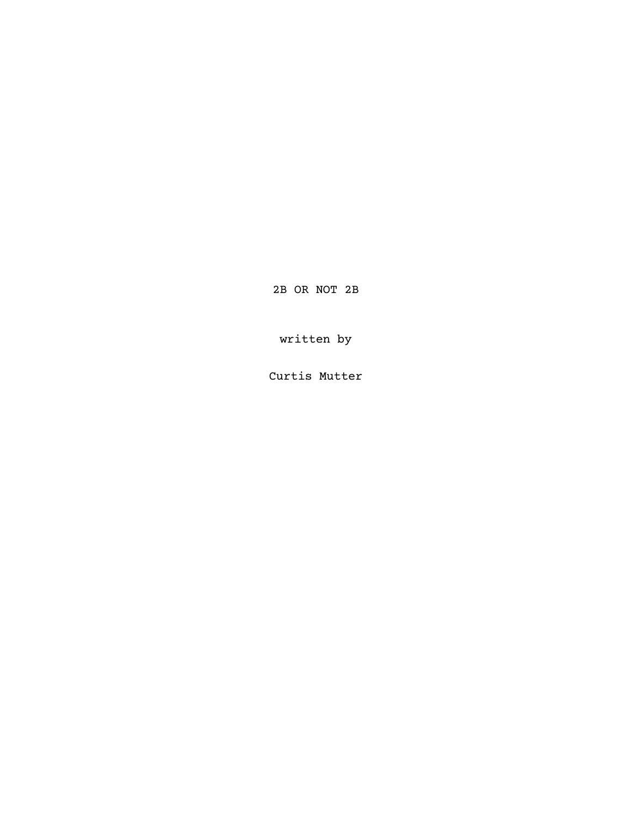2B OR NOT 2B

written by

Curtis Mutter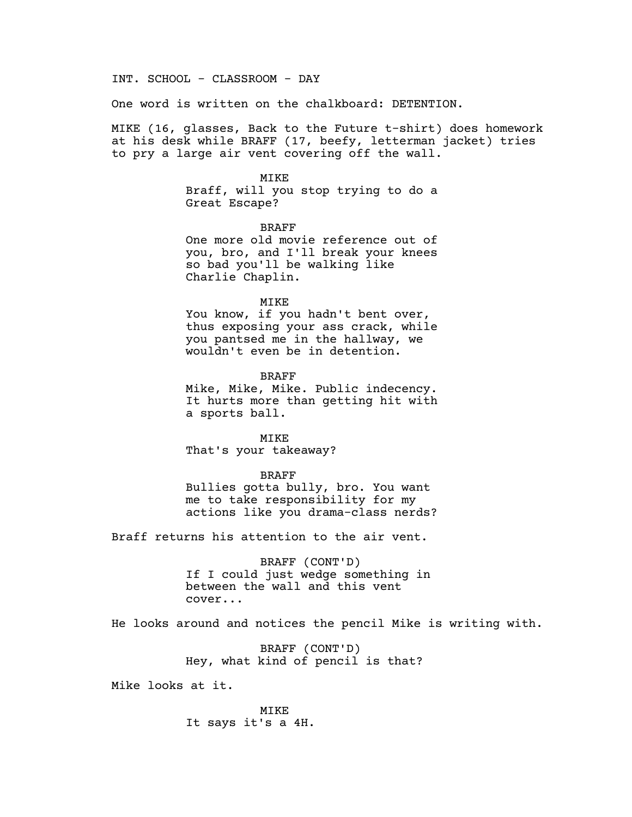INT. SCHOOL - CLASSROOM - DAY

One word is written on the chalkboard: DETENTION.

MIKE (16, glasses, Back to the Future t-shirt) does homework at his desk while BRAFF (17, beefy, letterman jacket) tries to pry a large air vent covering off the wall.

# MIKE

Braff, will you stop trying to do a Great Escape?

BRAFF One more old movie reference out of you, bro, and I'll break your knees so bad you'll be walking like Charlie Chaplin.

#### MIKE

You know, if you hadn't bent over, thus exposing your ass crack, while you pantsed me in the hallway, we wouldn't even be in detention.

BRAFF

Mike, Mike, Mike. Public indecency. It hurts more than getting hit with a sports ball.

MIKE That's your takeaway?

### BRAFF

Bullies gotta bully, bro. You want me to take responsibility for my actions like you drama-class nerds?

Braff returns his attention to the air vent.

BRAFF (CONT'D) If I could just wedge something in between the wall and this vent cover...

He looks around and notices the pencil Mike is writing with.

BRAFF (CONT'D) Hey, what kind of pencil is that?

Mike looks at it.

MIKE It says it's a 4H.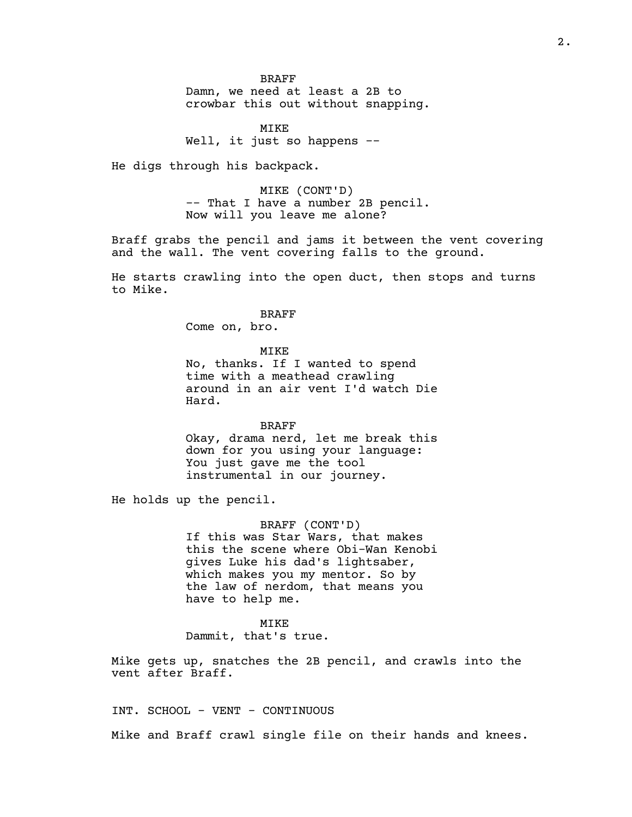BRAFF

Damn, we need at least a 2B to crowbar this out without snapping.

MIKE Well, it just so happens --

He digs through his backpack.

MIKE (CONT'D) -- That I have a number 2B pencil. Now will you leave me alone?

Braff grabs the pencil and jams it between the vent covering and the wall. The vent covering falls to the ground.

He starts crawling into the open duct, then stops and turns to Mike.

> BRAFF Come on, bro.

> > MIKE

No, thanks. If I wanted to spend time with a meathead crawling around in an air vent I'd watch Die Hard.

BRAFF

Okay, drama nerd, let me break this down for you using your language: You just gave me the tool instrumental in our journey.

He holds up the pencil.

BRAFF (CONT'D) If this was Star Wars, that makes this the scene where Obi-Wan Kenobi gives Luke his dad's lightsaber, which makes you my mentor. So by the law of nerdom, that means you have to help me.

MIKE

Dammit, that's true.

Mike gets up, snatches the 2B pencil, and crawls into the vent after Braff.

INT. SCHOOL - VENT - CONTINUOUS Mike and Braff crawl single file on their hands and knees.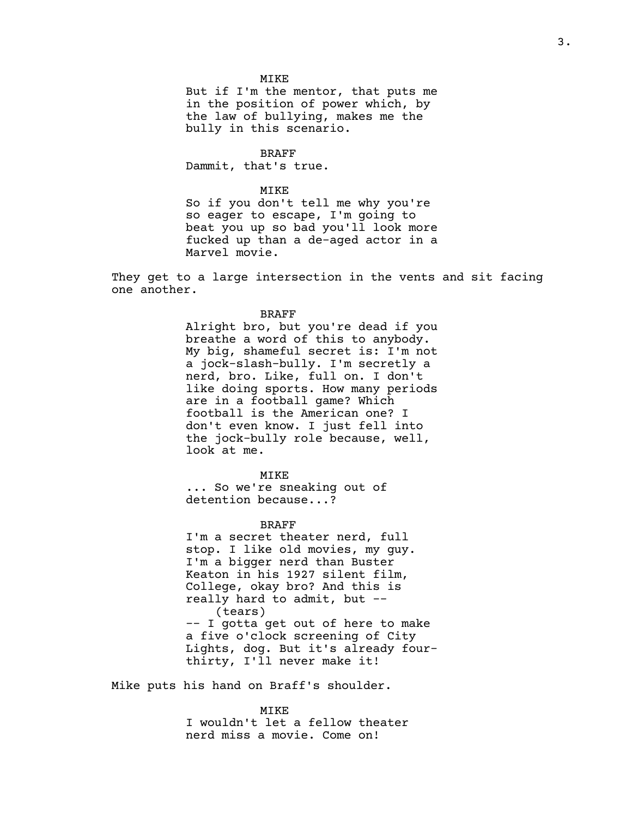MIKE

But if I'm the mentor, that puts me in the position of power which, by the law of bullying, makes me the bully in this scenario.

BRAFF

Dammit, that's true.

### MIKE

So if you don't tell me why you're so eager to escape, I'm going to beat you up so bad you'll look more fucked up than a de-aged actor in a Marvel movie.

They get to a large intersection in the vents and sit facing one another.

### BRAFF

Alright bro, but you're dead if you breathe a word of this to anybody. My big, shameful secret is: I'm not a jock-slash-bully. I'm secretly a nerd, bro. Like, full on. I don't like doing sports. How many periods are in a football game? Which football is the American one? I don't even know. I just fell into the jock-bully role because, well, look at me.

MIKE

... So we're sneaking out of detention because...?

## BRAFF

I'm a secret theater nerd, full stop. I like old movies, my guy. I'm a bigger nerd than Buster Keaton in his 1927 silent film, College, okay bro? And this is really hard to admit, but -- (tears) -- I gotta get out of here to make a five o'clock screening of City

Lights, dog. But it's already fourthirty, I'll never make it!

Mike puts his hand on Braff's shoulder.

MIKE

I wouldn't let a fellow theater nerd miss a movie. Come on!